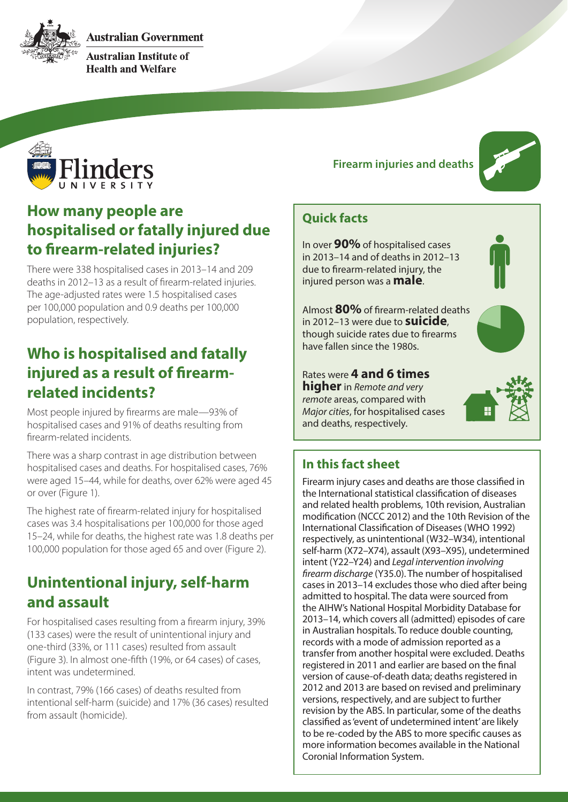**Australian Government** 



**Australian Institute of Health and Welfare** 



### **How many people are hospitalised or fatally injured due to firearm-related injuries?**

There were 338 hospitalised cases in 2013–14 and 209 deaths in 2012–13 as a result of firearm-related injuries. The age-adjusted rates were 1.5 hospitalised cases per 100,000 population and 0.9 deaths per 100,000 population, respectively.

### **Who is hospitalised and fatally injured as a result of firearmrelated incidents?**

Most people injured by firearms are male—93% of hospitalised cases and 91% of deaths resulting from firearm-related incidents.

There was a sharp contrast in age distribution between hospitalised cases and deaths. For hospitalised cases, 76% were aged 15–44, while for deaths, over 62% were aged 45 or over (Figure 1).

The highest rate of firearm-related injury for hospitalised cases was 3.4 hospitalisations per 100,000 for those aged 15–24, while for deaths, the highest rate was 1.8 deaths per 100,000 population for those aged 65 and over (Figure 2).

### **Unintentional injury, self-harm and assault**

For hospitalised cases resulting from a firearm injury, 39% (133 cases) were the result of unintentional injury and one-third (33%, or 111 cases) resulted from assault (Figure 3). In almost one-fifth (19%, or 64 cases) of cases, intent was undetermined.

In contrast, 79% (166 cases) of deaths resulted from intentional self-harm (suicide) and 17% (36 cases) resulted from assault (homicide).

#### **Firearm injuries and deaths**



#### **Quick facts**

In over **90%** of hospitalised cases in 2013–14 and of deaths in 2012–13 due to firearm-related injury, the injured person was a **male**.

Almost **80%** of firearm-related deaths in 2012–13 were due to **suicide**, though suicide rates due to firearms have fallen since the 1980s.

Rates were **4 and 6 times higher** in *Remote and very remote* areas, compared with *Major cities*, for hospitalised cases and deaths, respectively.



#### **In this fact sheet**

Firearm injury cases and deaths are those classified in the International statistical classification of diseases and related health problems, 10th revision, Australian modification (NCCC 2012) and the 10th Revision of the International Classification of Diseases (WHO 1992) respectively, as unintentional (W32–W34), intentional self-harm (X72–X74), assault (X93–X95), undetermined intent (Y22–Y24) and *Legal intervention involving firearm discharge* (Y35.0). The number of hospitalised cases in 2013–14 excludes those who died after being admitted to hospital. The data were sourced from the AIHW's National Hospital Morbidity Database for 2013–14, which covers all (admitted) episodes of care in Australian hospitals. To reduce double counting, records with a mode of admission reported as a transfer from another hospital were excluded. Deaths registered in 2011 and earlier are based on the final version of cause-of-death data; deaths registered in 2012 and 2013 are based on revised and preliminary versions, respectively, and are subject to further revision by the ABS. In particular, some of the deaths classified as 'event of undetermined intent' are likely to be re-coded by the ABS to more specific causes as more information becomes available in the National Coronial Information System.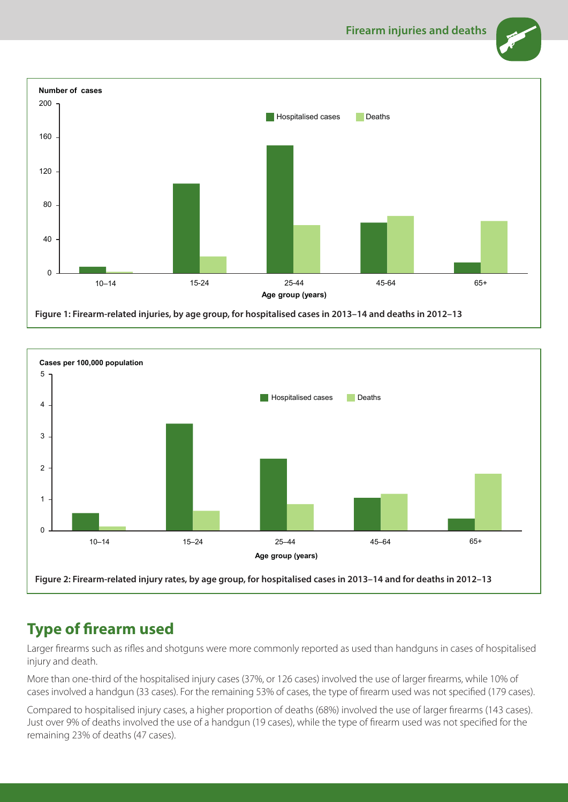





## **Type of firearm used**

Larger firearms such as rifles and shotguns were more commonly reported as used than handguns in cases of hospitalised injury and death.

More than one-third of the hospitalised injury cases (37%, or 126 cases) involved the use of larger firearms, while 10% of cases involved a handgun (33 cases). For the remaining 53% of cases, the type of firearm used was not specified (179 cases).

Compared to hospitalised injury cases, a higher proportion of deaths (68%) involved the use of larger firearms (143 cases). Just over 9% of deaths involved the use of a handgun (19 cases), while the type of firearm used was not specified for the remaining 23% of deaths (47 cases).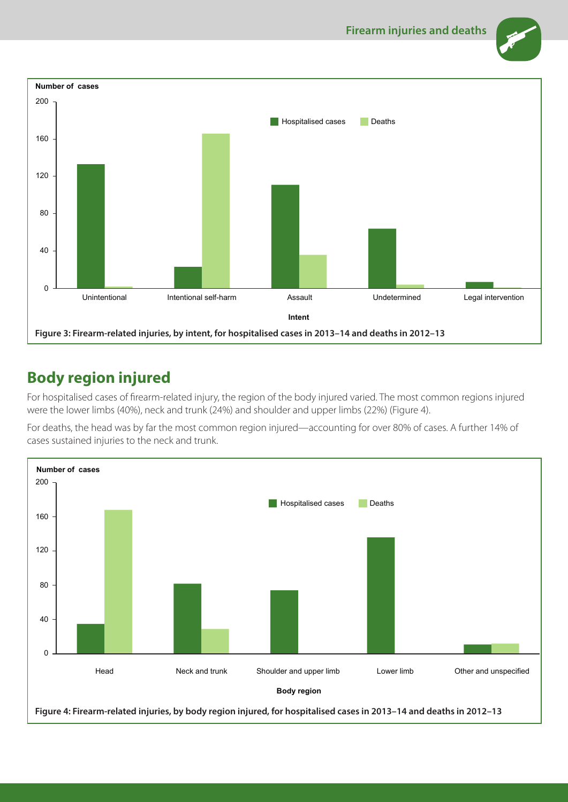



## **Body region injured**

For hospitalised cases of firearm-related injury, the region of the body injured varied. The most common regions injured were the lower limbs (40%), neck and trunk (24%) and shoulder and upper limbs (22%) (Figure 4).

For deaths, the head was by far the most common region injured—accounting for over 80% of cases. A further 14% of cases sustained injuries to the neck and trunk.

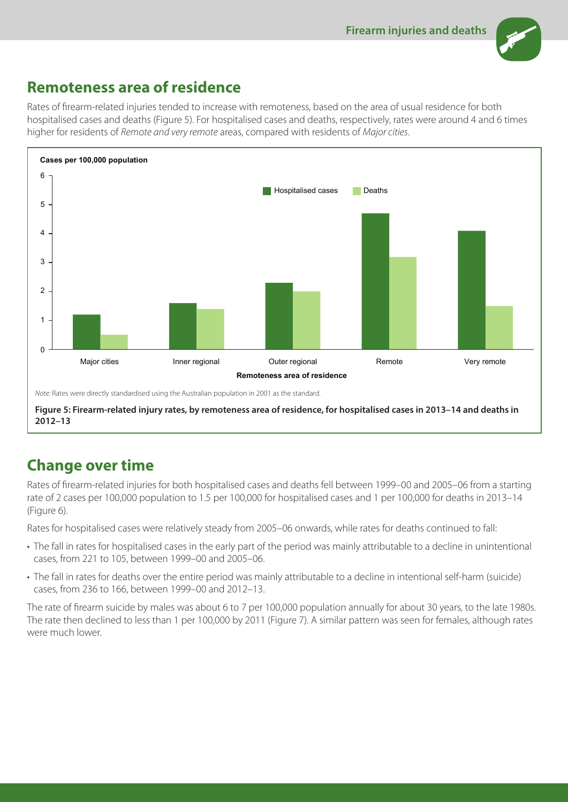

## **Remoteness area of residence**

Rates of firearm-related injuries tended to increase with remoteness, based on the area of usual residence for both hospitalised cases and deaths (Figure 5). For hospitalised cases and deaths, respectively, rates were around 4 and 6 times higher for residents of *Remote and very remote* areas, compared with residents of *Major cities*.



**Figure 5: Firearm-related injury rates, by remoteness area of residence, for hospitalised cases in 2013–14 and deaths in 2012–13**

# **Change over time**

Rates of firearm-related injuries for both hospitalised cases and deaths fell between 1999–00 and 2005–06 from a starting rate of 2 cases per 100,000 population to 1.5 per 100,000 for hospitalised cases and 1 per 100,000 for deaths in 2013–14 (Figure 6).

Rates for hospitalised cases were relatively steady from 2005–06 onwards, while rates for deaths continued to fall:

- The fall in rates for hospitalised cases in the early part of the period was mainly attributable to a decline in unintentional cases, from 221 to 105, between 1999–00 and 2005–06.
- The fall in rates for deaths over the entire period was mainly attributable to a decline in intentional self-harm (suicide) cases, from 236 to 166, between 1999–00 and 2012–13.

The rate of firearm suicide by males was about 6 to 7 per 100,000 population annually for about 30 years, to the late 1980s. The rate then declined to less than 1 per 100,000 by 2011 (Figure 7). A similar pattern was seen for females, although rates were much lower.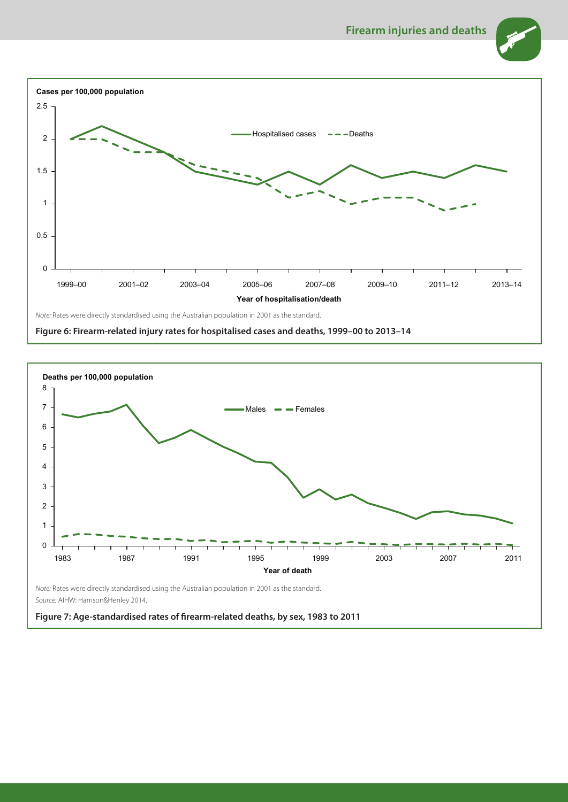